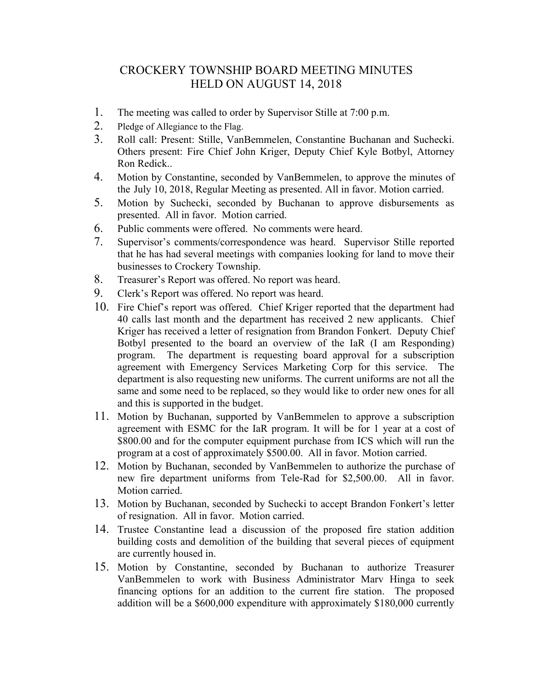## CROCKERY TOWNSHIP BOARD MEETING MINUTES HELD ON AUGUST 14, 2018

- 1. The meeting was called to order by Supervisor Stille at 7:00 p.m.
- 2. Pledge of Allegiance to the Flag.
- 3. Roll call: Present: Stille, VanBemmelen, Constantine Buchanan and Suchecki. Others present: Fire Chief John Kriger, Deputy Chief Kyle Botbyl, Attorney Ron Redick..
- 4. Motion by Constantine, seconded by VanBemmelen, to approve the minutes of the July 10, 2018, Regular Meeting as presented. All in favor. Motion carried.
- 5. Motion by Suchecki, seconded by Buchanan to approve disbursements as presented. All in favor. Motion carried.
- 6. Public comments were offered. No comments were heard.
- 7. Supervisor's comments/correspondence was heard. Supervisor Stille reported that he has had several meetings with companies looking for land to move their businesses to Crockery Township.
- 8. Treasurer's Report was offered. No report was heard.
- 9. Clerk's Report was offered. No report was heard.
- 10. Fire Chief's report was offered. Chief Kriger reported that the department had 40 calls last month and the department has received 2 new applicants. Chief Kriger has received a letter of resignation from Brandon Fonkert. Deputy Chief Botbyl presented to the board an overview of the IaR (I am Responding) program. The department is requesting board approval for a subscription agreement with Emergency Services Marketing Corp for this service. The department is also requesting new uniforms. The current uniforms are not all the same and some need to be replaced, so they would like to order new ones for all and this is supported in the budget.
- 11. Motion by Buchanan, supported by VanBemmelen to approve a subscription agreement with ESMC for the IaR program. It will be for 1 year at a cost of \$800.00 and for the computer equipment purchase from ICS which will run the program at a cost of approximately \$500.00. All in favor. Motion carried.
- 12. Motion by Buchanan, seconded by VanBemmelen to authorize the purchase of new fire department uniforms from Tele-Rad for \$2,500.00. All in favor. Motion carried.
- 13. Motion by Buchanan, seconded by Suchecki to accept Brandon Fonkert's letter of resignation. All in favor. Motion carried.
- 14. Trustee Constantine lead a discussion of the proposed fire station addition building costs and demolition of the building that several pieces of equipment are currently housed in.
- 15. Motion by Constantine, seconded by Buchanan to authorize Treasurer VanBemmelen to work with Business Administrator Marv Hinga to seek financing options for an addition to the current fire station. The proposed addition will be a \$600,000 expenditure with approximately \$180,000 currently